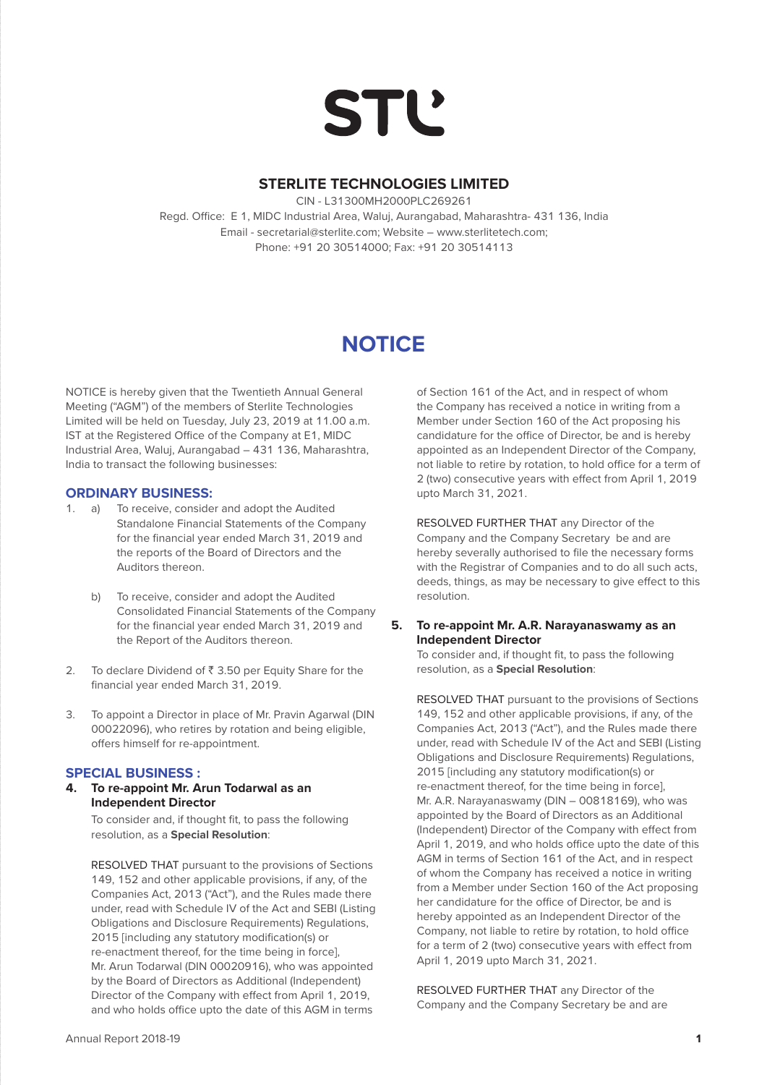# **STL'**

## **STERLITE TECHNOLOGIES LIMITED**

CIN - L31300MH2000PLC269261 Regd. Office: E 1, MIDC Industrial Area, Waluj, Aurangabad, Maharashtra- 431 136, India Email - secretarial@sterlite.com; Website – www.sterlitetech.com; Phone: +91 20 30514000; Fax: +91 20 30514113

# **NOTICE**

NOTICE is hereby given that the Twentieth Annual General Meeting ("AGM") of the members of Sterlite Technologies Limited will be held on Tuesday, July 23, 2019 at 11.00 a.m. IST at the Registered Office of the Company at E1, MIDC Industrial Area, Waluj, Aurangabad – 431 136, Maharashtra, India to transact the following businesses:

#### **ORDINARY BUSINESS:**

- 1. a) To receive, consider and adopt the Audited Standalone Financial Statements of the Company for the financial year ended March 31, 2019 and the reports of the Board of Directors and the Auditors thereon.
	- b) To receive, consider and adopt the Audited Consolidated Financial Statements of the Company for the financial year ended March 31, 2019 and the Report of the Auditors thereon.
- 2. To declare Dividend of  $\bar{z}$  3.50 per Equity Share for the financial year ended March 31, 2019.
- 3. To appoint a Director in place of Mr. Pravin Agarwal (DIN 00022096), who retires by rotation and being eligible, offers himself for re-appointment.

#### **SPECIAL BUSINESS :**

**4. To re-appoint Mr. Arun Todarwal as an Independent Director**

> To consider and, if thought fit, to pass the following resolution, as a **Special Resolution**:

 RESOLVED THAT pursuant to the provisions of Sections 149, 152 and other applicable provisions, if any, of the Companies Act, 2013 ("Act"), and the Rules made there under, read with Schedule IV of the Act and SEBI (Listing Obligations and Disclosure Requirements) Regulations, 2015 [including any statutory modification(s) or re-enactment thereof, for the time being in force], Mr. Arun Todarwal (DIN 00020916), who was appointed by the Board of Directors as Additional (Independent) Director of the Company with effect from April 1, 2019, and who holds office upto the date of this AGM in terms

of Section 161 of the Act, and in respect of whom the Company has received a notice in writing from a Member under Section 160 of the Act proposing his candidature for the office of Director, be and is hereby appointed as an Independent Director of the Company, not liable to retire by rotation, to hold office for a term of 2 (two) consecutive years with effect from April 1, 2019 upto March 31, 2021.

 RESOLVED FURTHER THAT any Director of the Company and the Company Secretary be and are hereby severally authorised to file the necessary forms with the Registrar of Companies and to do all such acts, deeds, things, as may be necessary to give effect to this resolution.

#### **5. To re-appoint Mr. A.R. Narayanaswamy as an Independent Director**

 To consider and, if thought fit, to pass the following resolution, as a **Special Resolution**:

 RESOLVED THAT pursuant to the provisions of Sections 149, 152 and other applicable provisions, if any, of the Companies Act, 2013 ("Act"), and the Rules made there under, read with Schedule IV of the Act and SEBI (Listing Obligations and Disclosure Requirements) Regulations, 2015 [including any statutory modification(s) or re-enactment thereof, for the time being in force], Mr. A.R. Narayanaswamy (DIN – 00818169), who was appointed by the Board of Directors as an Additional (Independent) Director of the Company with effect from April 1, 2019, and who holds office upto the date of this AGM in terms of Section 161 of the Act, and in respect of whom the Company has received a notice in writing from a Member under Section 160 of the Act proposing her candidature for the office of Director, be and is hereby appointed as an Independent Director of the Company, not liable to retire by rotation, to hold office for a term of 2 (two) consecutive years with effect from April 1, 2019 upto March 31, 2021.

 RESOLVED FURTHER THAT any Director of the Company and the Company Secretary be and are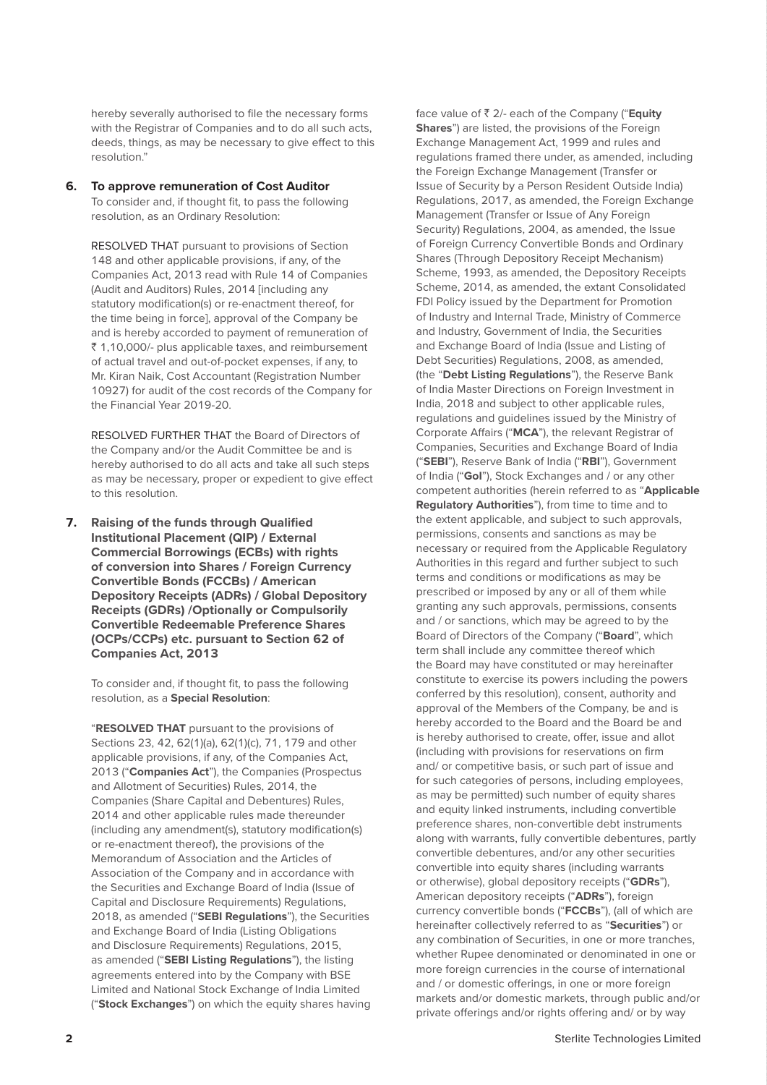hereby severally authorised to file the necessary forms with the Registrar of Companies and to do all such acts, deeds, things, as may be necessary to give effect to this resolution."

#### **6. To approve remuneration of Cost Auditor**

 To consider and, if thought fit, to pass the following resolution, as an Ordinary Resolution:

 RESOLVED THAT pursuant to provisions of Section 148 and other applicable provisions, if any, of the Companies Act, 2013 read with Rule 14 of Companies (Audit and Auditors) Rules, 2014 [including any statutory modification(s) or re-enactment thereof, for the time being in force], approval of the Company be and is hereby accorded to payment of remuneration of  $\bar{z}$  1,10,000/- plus applicable taxes, and reimbursement of actual travel and out-of-pocket expenses, if any, to Mr. Kiran Naik, Cost Accountant (Registration Number 10927) for audit of the cost records of the Company for the Financial Year 2019-20.

 RESOLVED FURTHER THAT the Board of Directors of the Company and/or the Audit Committee be and is hereby authorised to do all acts and take all such steps as may be necessary, proper or expedient to give effect to this resolution.

**7. Raising of the funds through Qualified Institutional Placement (QIP) / External Commercial Borrowings (ECBs) with rights of conversion into Shares / Foreign Currency Convertible Bonds (FCCBs) / American Depository Receipts (ADRs) / Global Depository Receipts (GDRs) /Optionally or Compulsorily Convertible Redeemable Preference Shares (OCPs/CCPs) etc. pursuant to Section 62 of Companies Act, 2013**

 To consider and, if thought fit, to pass the following resolution, as a **Special Resolution**:

 "**RESOLVED THAT** pursuant to the provisions of Sections 23, 42, 62(1)(a), 62(1)(c), 71, 179 and other applicable provisions, if any, of the Companies Act, 2013 ("**Companies Act**"), the Companies (Prospectus and Allotment of Securities) Rules, 2014, the Companies (Share Capital and Debentures) Rules, 2014 and other applicable rules made thereunder (including any amendment(s), statutory modification(s) or re-enactment thereof), the provisions of the Memorandum of Association and the Articles of Association of the Company and in accordance with the Securities and Exchange Board of India (Issue of Capital and Disclosure Requirements) Regulations, 2018, as amended ("**SEBI Regulations**"), the Securities and Exchange Board of India (Listing Obligations and Disclosure Requirements) Regulations, 2015, as amended ("**SEBI Listing Regulations**"), the listing agreements entered into by the Company with BSE Limited and National Stock Exchange of India Limited ("**Stock Exchanges**") on which the equity shares having

face value of ` 2/- each of the Company ("**Equity Shares**") are listed, the provisions of the Foreign Exchange Management Act, 1999 and rules and regulations framed there under, as amended, including the Foreign Exchange Management (Transfer or Issue of Security by a Person Resident Outside India) Regulations, 2017, as amended, the Foreign Exchange Management (Transfer or Issue of Any Foreign Security) Regulations, 2004, as amended, the Issue of Foreign Currency Convertible Bonds and Ordinary Shares (Through Depository Receipt Mechanism) Scheme, 1993, as amended, the Depository Receipts Scheme, 2014, as amended, the extant Consolidated FDI Policy issued by the Department for Promotion of Industry and Internal Trade, Ministry of Commerce and Industry, Government of India, the Securities and Exchange Board of India (Issue and Listing of Debt Securities) Regulations, 2008, as amended, (the "**Debt Listing Regulations**"), the Reserve Bank of India Master Directions on Foreign Investment in India, 2018 and subject to other applicable rules, regulations and guidelines issued by the Ministry of Corporate Affairs ("**MCA**"), the relevant Registrar of Companies, Securities and Exchange Board of India ("**SEBI**"), Reserve Bank of India ("**RBI**"), Government of India ("**GoI**"), Stock Exchanges and / or any other competent authorities (herein referred to as "**Applicable Regulatory Authorities**"), from time to time and to the extent applicable, and subject to such approvals, permissions, consents and sanctions as may be necessary or required from the Applicable Regulatory Authorities in this regard and further subject to such terms and conditions or modifications as may be prescribed or imposed by any or all of them while granting any such approvals, permissions, consents and / or sanctions, which may be agreed to by the Board of Directors of the Company ("**Board**", which term shall include any committee thereof which the Board may have constituted or may hereinafter constitute to exercise its powers including the powers conferred by this resolution), consent, authority and approval of the Members of the Company, be and is hereby accorded to the Board and the Board be and is hereby authorised to create, offer, issue and allot (including with provisions for reservations on firm and/ or competitive basis, or such part of issue and for such categories of persons, including employees, as may be permitted) such number of equity shares and equity linked instruments, including convertible preference shares, non-convertible debt instruments along with warrants, fully convertible debentures, partly convertible debentures, and/or any other securities convertible into equity shares (including warrants or otherwise), global depository receipts ("**GDRs**"), American depository receipts ("**ADRs**"), foreign currency convertible bonds ("**FCCBs**"), (all of which are hereinafter collectively referred to as "**Securities**") or any combination of Securities, in one or more tranches, whether Rupee denominated or denominated in one or more foreign currencies in the course of international and / or domestic offerings, in one or more foreign markets and/or domestic markets, through public and/or private offerings and/or rights offering and/ or by way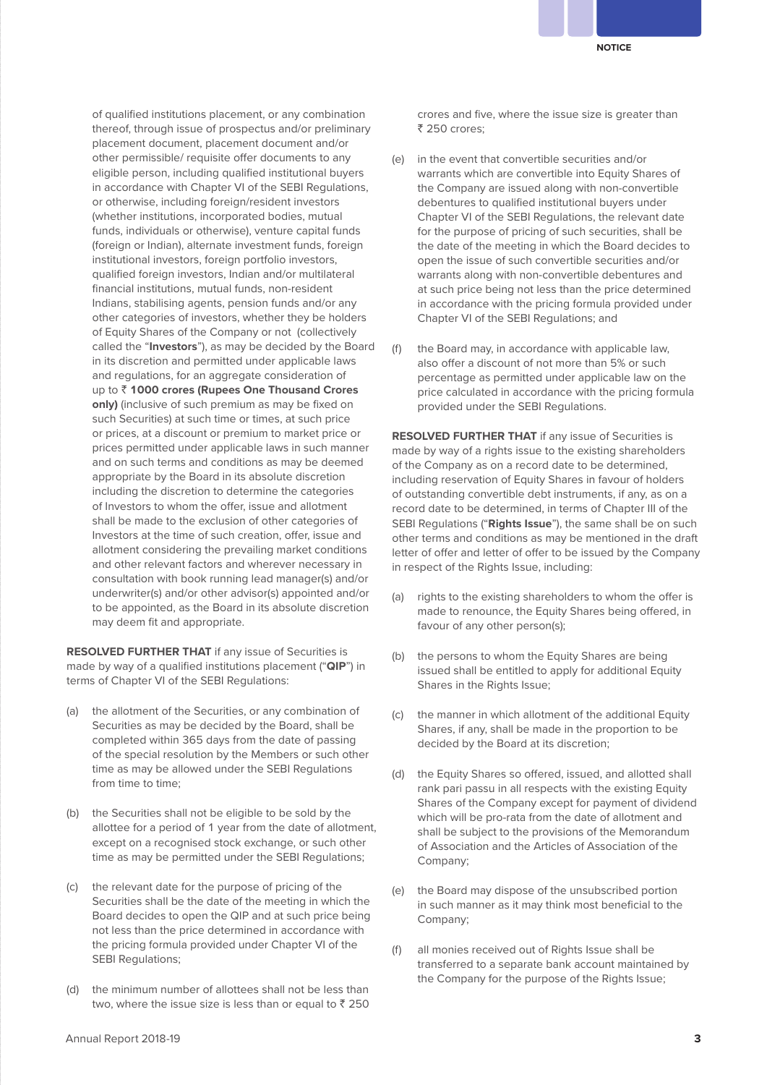of qualified institutions placement, or any combination thereof, through issue of prospectus and/or preliminary placement document, placement document and/or other permissible/ requisite offer documents to any eligible person, including qualified institutional buyers in accordance with Chapter VI of the SEBI Regulations, or otherwise, including foreign/resident investors (whether institutions, incorporated bodies, mutual funds, individuals or otherwise), venture capital funds (foreign or Indian), alternate investment funds, foreign institutional investors, foreign portfolio investors, qualified foreign investors, Indian and/or multilateral financial institutions, mutual funds, non-resident Indians, stabilising agents, pension funds and/or any other categories of investors, whether they be holders of Equity Shares of the Company or not (collectively called the "**Investors**"), as may be decided by the Board in its discretion and permitted under applicable laws and regulations, for an aggregate consideration of up to ` **1000 crores (Rupees One Thousand Crores only)** (inclusive of such premium as may be fixed on such Securities) at such time or times, at such price or prices, at a discount or premium to market price or prices permitted under applicable laws in such manner and on such terms and conditions as may be deemed appropriate by the Board in its absolute discretion including the discretion to determine the categories of Investors to whom the offer, issue and allotment shall be made to the exclusion of other categories of Investors at the time of such creation, offer, issue and allotment considering the prevailing market conditions and other relevant factors and wherever necessary in consultation with book running lead manager(s) and/or underwriter(s) and/or other advisor(s) appointed and/or to be appointed, as the Board in its absolute discretion may deem fit and appropriate.

**RESOLVED FURTHER THAT** if any issue of Securities is made by way of a qualified institutions placement ("**QIP**") in terms of Chapter VI of the SEBI Regulations:

- (a) the allotment of the Securities, or any combination of Securities as may be decided by the Board, shall be completed within 365 days from the date of passing of the special resolution by the Members or such other time as may be allowed under the SEBI Regulations from time to time;
- (b) the Securities shall not be eligible to be sold by the allottee for a period of 1 year from the date of allotment, except on a recognised stock exchange, or such other time as may be permitted under the SEBI Regulations;
- (c) the relevant date for the purpose of pricing of the Securities shall be the date of the meeting in which the Board decides to open the QIP and at such price being not less than the price determined in accordance with the pricing formula provided under Chapter VI of the SEBI Regulations;
- (d) the minimum number of allottees shall not be less than two, where the issue size is less than or equal to  $\bar{z}$  250

crores and five, where the issue size is greater than ₹ 250 crores;

- (e) in the event that convertible securities and/or warrants which are convertible into Equity Shares of the Company are issued along with non-convertible debentures to qualified institutional buyers under Chapter VI of the SEBI Regulations, the relevant date for the purpose of pricing of such securities, shall be the date of the meeting in which the Board decides to open the issue of such convertible securities and/or warrants along with non-convertible debentures and at such price being not less than the price determined in accordance with the pricing formula provided under Chapter VI of the SEBI Regulations; and
- (f) the Board may, in accordance with applicable law, also offer a discount of not more than 5% or such percentage as permitted under applicable law on the price calculated in accordance with the pricing formula provided under the SEBI Regulations.

**RESOLVED FURTHER THAT** if any issue of Securities is made by way of a rights issue to the existing shareholders of the Company as on a record date to be determined, including reservation of Equity Shares in favour of holders of outstanding convertible debt instruments, if any, as on a record date to be determined, in terms of Chapter III of the SEBI Regulations ("**Rights Issue**"), the same shall be on such other terms and conditions as may be mentioned in the draft letter of offer and letter of offer to be issued by the Company in respect of the Rights Issue, including:

- (a) rights to the existing shareholders to whom the offer is made to renounce, the Equity Shares being offered, in favour of any other person(s);
- (b) the persons to whom the Equity Shares are being issued shall be entitled to apply for additional Equity Shares in the Rights Issue;
- (c) the manner in which allotment of the additional Equity Shares, if any, shall be made in the proportion to be decided by the Board at its discretion;
- (d) the Equity Shares so offered, issued, and allotted shall rank pari passu in all respects with the existing Equity Shares of the Company except for payment of dividend which will be pro-rata from the date of allotment and shall be subject to the provisions of the Memorandum of Association and the Articles of Association of the Company;
- (e) the Board may dispose of the unsubscribed portion in such manner as it may think most beneficial to the Company;
- (f) all monies received out of Rights Issue shall be transferred to a separate bank account maintained by the Company for the purpose of the Rights Issue;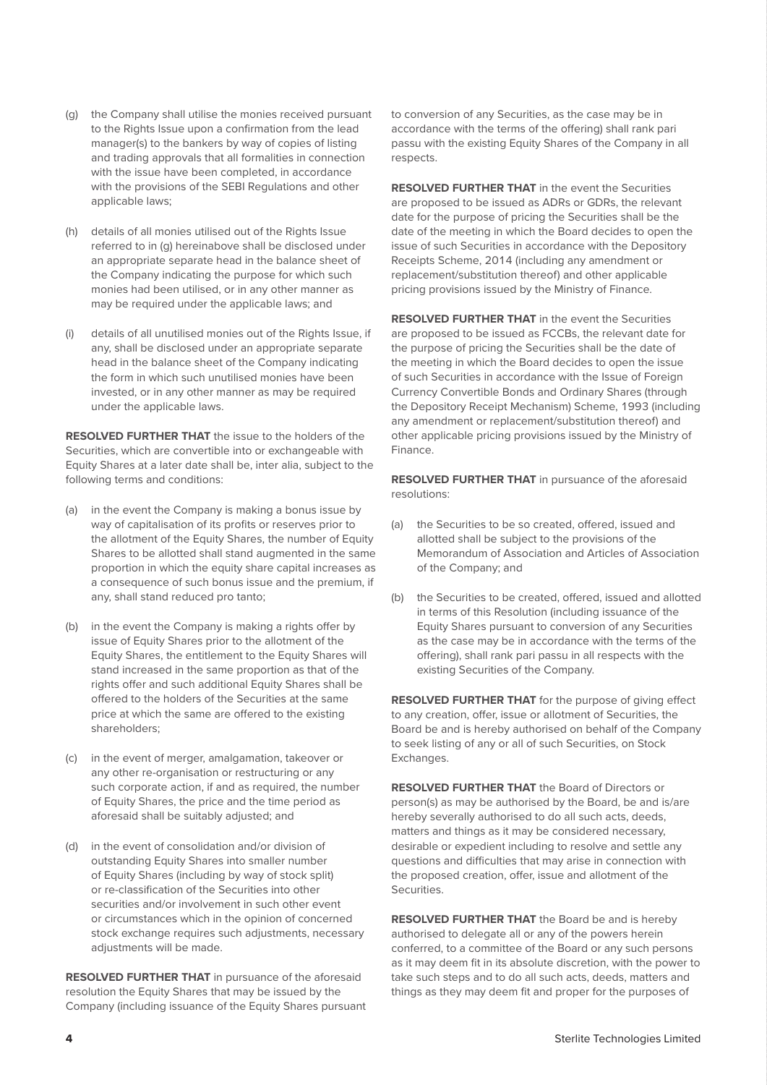- (g) the Company shall utilise the monies received pursuant to the Rights Issue upon a confirmation from the lead manager(s) to the bankers by way of copies of listing and trading approvals that all formalities in connection with the issue have been completed, in accordance with the provisions of the SEBI Regulations and other applicable laws;
- (h) details of all monies utilised out of the Rights Issue referred to in (g) hereinabove shall be disclosed under an appropriate separate head in the balance sheet of the Company indicating the purpose for which such monies had been utilised, or in any other manner as may be required under the applicable laws; and
- (i) details of all unutilised monies out of the Rights Issue, if any, shall be disclosed under an appropriate separate head in the balance sheet of the Company indicating the form in which such unutilised monies have been invested, or in any other manner as may be required under the applicable laws.

**RESOLVED FURTHER THAT** the issue to the holders of the Securities, which are convertible into or exchangeable with Equity Shares at a later date shall be, inter alia, subject to the following terms and conditions:

- (a) in the event the Company is making a bonus issue by way of capitalisation of its profits or reserves prior to the allotment of the Equity Shares, the number of Equity Shares to be allotted shall stand augmented in the same proportion in which the equity share capital increases as a consequence of such bonus issue and the premium, if any, shall stand reduced pro tanto;
- (b) in the event the Company is making a rights offer by issue of Equity Shares prior to the allotment of the Equity Shares, the entitlement to the Equity Shares will stand increased in the same proportion as that of the rights offer and such additional Equity Shares shall be offered to the holders of the Securities at the same price at which the same are offered to the existing shareholders;
- (c) in the event of merger, amalgamation, takeover or any other re-organisation or restructuring or any such corporate action, if and as required, the number of Equity Shares, the price and the time period as aforesaid shall be suitably adjusted; and
- (d) in the event of consolidation and/or division of outstanding Equity Shares into smaller number of Equity Shares (including by way of stock split) or re-classification of the Securities into other securities and/or involvement in such other event or circumstances which in the opinion of concerned stock exchange requires such adjustments, necessary adjustments will be made.

**RESOLVED FURTHER THAT** in pursuance of the aforesaid resolution the Equity Shares that may be issued by the Company (including issuance of the Equity Shares pursuant to conversion of any Securities, as the case may be in accordance with the terms of the offering) shall rank pari passu with the existing Equity Shares of the Company in all respects.

**RESOLVED FURTHER THAT** in the event the Securities are proposed to be issued as ADRs or GDRs, the relevant date for the purpose of pricing the Securities shall be the date of the meeting in which the Board decides to open the issue of such Securities in accordance with the Depository Receipts Scheme, 2014 (including any amendment or replacement/substitution thereof) and other applicable pricing provisions issued by the Ministry of Finance.

**RESOLVED FURTHER THAT** in the event the Securities are proposed to be issued as FCCBs, the relevant date for the purpose of pricing the Securities shall be the date of the meeting in which the Board decides to open the issue of such Securities in accordance with the Issue of Foreign Currency Convertible Bonds and Ordinary Shares (through the Depository Receipt Mechanism) Scheme, 1993 (including any amendment or replacement/substitution thereof) and other applicable pricing provisions issued by the Ministry of Finance.

**RESOLVED FURTHER THAT** in pursuance of the aforesaid resolutions:

- (a) the Securities to be so created, offered, issued and allotted shall be subject to the provisions of the Memorandum of Association and Articles of Association of the Company; and
- (b) the Securities to be created, offered, issued and allotted in terms of this Resolution (including issuance of the Equity Shares pursuant to conversion of any Securities as the case may be in accordance with the terms of the offering), shall rank pari passu in all respects with the existing Securities of the Company.

**RESOLVED FURTHER THAT** for the purpose of giving effect to any creation, offer, issue or allotment of Securities, the Board be and is hereby authorised on behalf of the Company to seek listing of any or all of such Securities, on Stock Exchanges.

**RESOLVED FURTHER THAT** the Board of Directors or person(s) as may be authorised by the Board, be and is/are hereby severally authorised to do all such acts, deeds, matters and things as it may be considered necessary, desirable or expedient including to resolve and settle any questions and difficulties that may arise in connection with the proposed creation, offer, issue and allotment of the Securities.

**RESOLVED FURTHER THAT** the Board be and is hereby authorised to delegate all or any of the powers herein conferred, to a committee of the Board or any such persons as it may deem fit in its absolute discretion, with the power to take such steps and to do all such acts, deeds, matters and things as they may deem fit and proper for the purposes of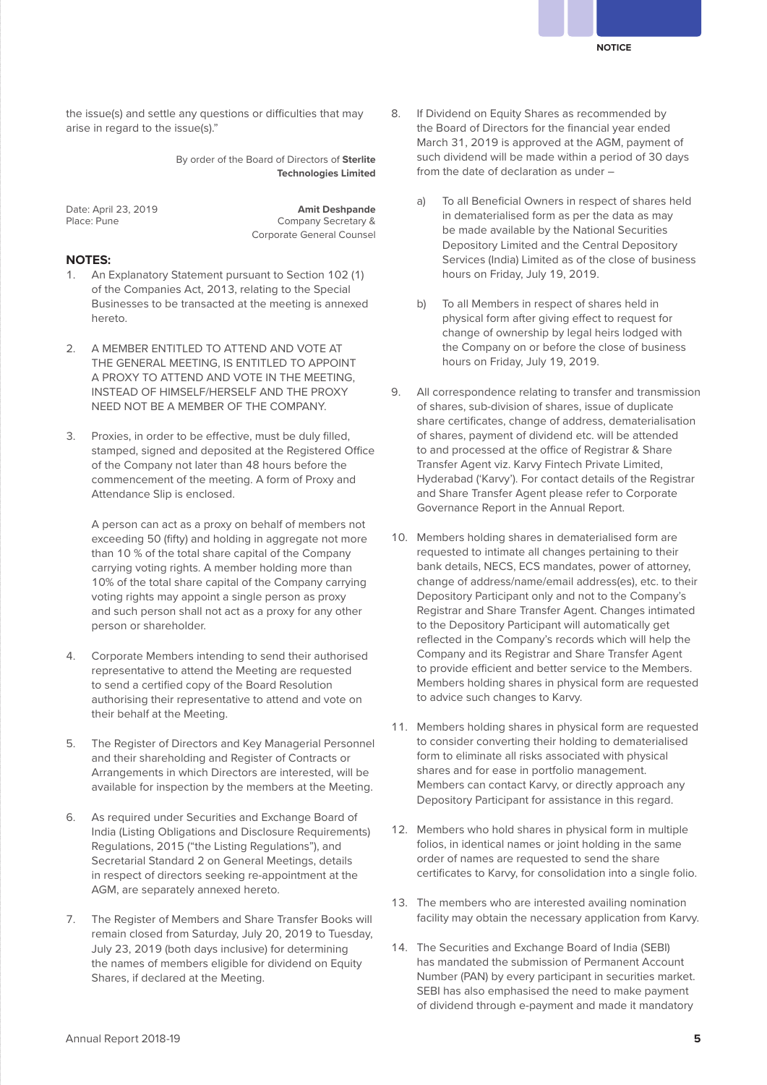the issue(s) and settle any questions or difficulties that may arise in regard to the issue(s)."

> By order of the Board of Directors of **Sterlite Technologies Limited**

Date: April 23, 2019 **Amit Deshpande** Company Secretary & Corporate General Counsel

#### **NOTES:**

- 1. An Explanatory Statement pursuant to Section 102 (1) of the Companies Act, 2013, relating to the Special Businesses to be transacted at the meeting is annexed hereto.
- 2. A MEMBER ENTITLED TO ATTEND AND VOTE AT THE GENERAL MEETING, IS ENTITLED TO APPOINT A PROXY TO ATTEND AND VOTE IN THE MEETING, INSTEAD OF HIMSELF/HERSELF AND THE PROXY NEED NOT BE A MEMBER OF THE COMPANY.
- 3. Proxies, in order to be effective, must be duly filled, stamped, signed and deposited at the Registered Office of the Company not later than 48 hours before the commencement of the meeting. A form of Proxy and Attendance Slip is enclosed.

 A person can act as a proxy on behalf of members not exceeding 50 (fifty) and holding in aggregate not more than 10 % of the total share capital of the Company carrying voting rights. A member holding more than 10% of the total share capital of the Company carrying voting rights may appoint a single person as proxy and such person shall not act as a proxy for any other person or shareholder.

- 4. Corporate Members intending to send their authorised representative to attend the Meeting are requested to send a certified copy of the Board Resolution authorising their representative to attend and vote on their behalf at the Meeting.
- 5. The Register of Directors and Key Managerial Personnel and their shareholding and Register of Contracts or Arrangements in which Directors are interested, will be available for inspection by the members at the Meeting.
- 6. As required under Securities and Exchange Board of India (Listing Obligations and Disclosure Requirements) Regulations, 2015 ("the Listing Regulations"), and Secretarial Standard 2 on General Meetings, details in respect of directors seeking re-appointment at the AGM, are separately annexed hereto.
- 7. The Register of Members and Share Transfer Books will remain closed from Saturday, July 20, 2019 to Tuesday, July 23, 2019 (both days inclusive) for determining the names of members eligible for dividend on Equity Shares, if declared at the Meeting.
- 8. If Dividend on Equity Shares as recommended by the Board of Directors for the financial year ended March 31, 2019 is approved at the AGM, payment of such dividend will be made within a period of 30 days from the date of declaration as under –
	- To all Beneficial Owners in respect of shares held in dematerialised form as per the data as may be made available by the National Securities Depository Limited and the Central Depository Services (India) Limited as of the close of business hours on Friday, July 19, 2019.
	- b) To all Members in respect of shares held in physical form after giving effect to request for change of ownership by legal heirs lodged with the Company on or before the close of business hours on Friday, July 19, 2019.
- 9. All correspondence relating to transfer and transmission of shares, sub-division of shares, issue of duplicate share certificates, change of address, dematerialisation of shares, payment of dividend etc. will be attended to and processed at the office of Registrar & Share Transfer Agent viz. Karvy Fintech Private Limited, Hyderabad ('Karvy'). For contact details of the Registrar and Share Transfer Agent please refer to Corporate Governance Report in the Annual Report.
- 10. Members holding shares in dematerialised form are requested to intimate all changes pertaining to their bank details, NECS, ECS mandates, power of attorney, change of address/name/email address(es), etc. to their Depository Participant only and not to the Company's Registrar and Share Transfer Agent. Changes intimated to the Depository Participant will automatically get reflected in the Company's records which will help the Company and its Registrar and Share Transfer Agent to provide efficient and better service to the Members. Members holding shares in physical form are requested to advice such changes to Karvy.
- 11. Members holding shares in physical form are requested to consider converting their holding to dematerialised form to eliminate all risks associated with physical shares and for ease in portfolio management. Members can contact Karvy, or directly approach any Depository Participant for assistance in this regard.
- 12. Members who hold shares in physical form in multiple folios, in identical names or joint holding in the same order of names are requested to send the share certificates to Karvy, for consolidation into a single folio.
- 13. The members who are interested availing nomination facility may obtain the necessary application from Karvy.
- 14. The Securities and Exchange Board of India (SEBI) has mandated the submission of Permanent Account Number (PAN) by every participant in securities market. SEBI has also emphasised the need to make payment of dividend through e-payment and made it mandatory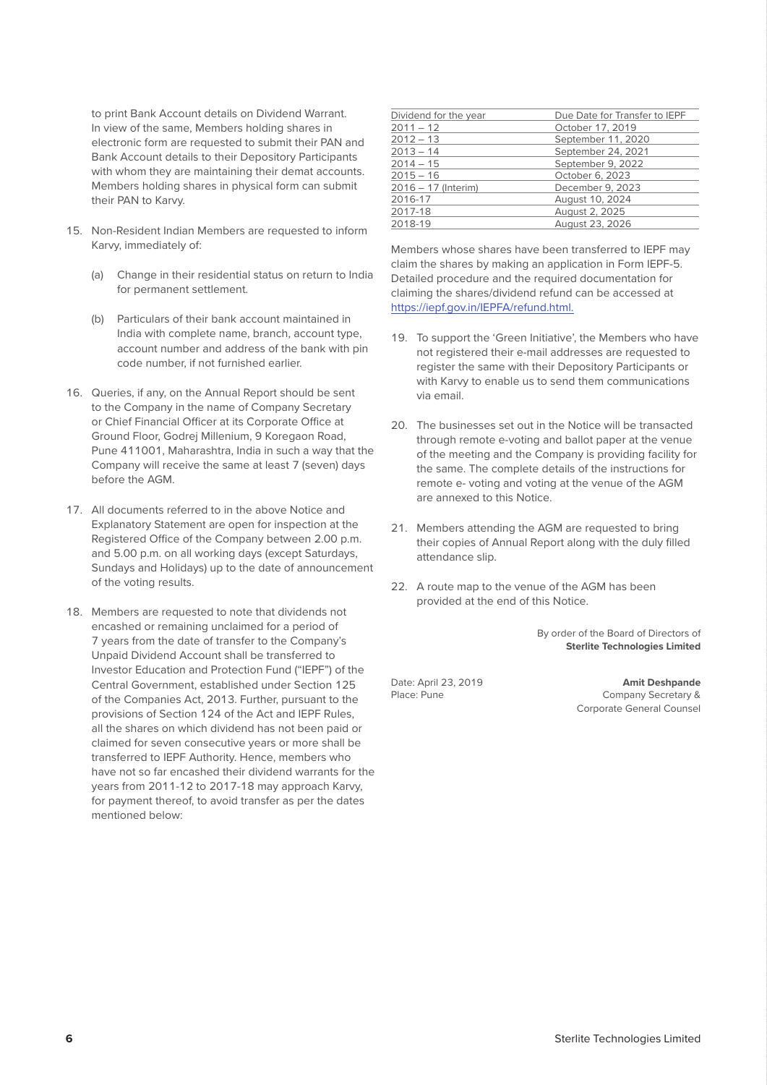to print Bank Account details on Dividend Warrant. In view of the same, Members holding shares in electronic form are requested to submit their PAN and Bank Account details to their Depository Participants with whom they are maintaining their demat accounts. Members holding shares in physical form can submit their PAN to Karvy.

- 15. Non-Resident Indian Members are requested to inform Karvy, immediately of:
	- (a) Change in their residential status on return to India for permanent settlement.
	- (b) Particulars of their bank account maintained in India with complete name, branch, account type, account number and address of the bank with pin code number, if not furnished earlier.
- 16. Queries, if any, on the Annual Report should be sent to the Company in the name of Company Secretary or Chief Financial Officer at its Corporate Office at Ground Floor, Godrej Millenium, 9 Koregaon Road, Pune 411001, Maharashtra, India in such a way that the Company will receive the same at least 7 (seven) days before the AGM.
- 17. All documents referred to in the above Notice and Explanatory Statement are open for inspection at the Registered Office of the Company between 2.00 p.m. and 5.00 p.m. on all working days (except Saturdays, Sundays and Holidays) up to the date of announcement of the voting results.
- 18. Members are requested to note that dividends not encashed or remaining unclaimed for a period of 7 years from the date of transfer to the Company's Unpaid Dividend Account shall be transferred to Investor Education and Protection Fund ("IEPF") of the Central Government, established under Section 125 of the Companies Act, 2013. Further, pursuant to the provisions of Section 124 of the Act and IEPF Rules, all the shares on which dividend has not been paid or claimed for seven consecutive years or more shall be transferred to IEPF Authority. Hence, members who have not so far encashed their dividend warrants for the years from 2011-12 to 2017-18 may approach Karvy, for payment thereof, to avoid transfer as per the dates mentioned below:

| Dividend for the year | Due Date for Transfer to IEPF |
|-----------------------|-------------------------------|
| $2011 - 12$           | October 17, 2019              |
| $2012 - 13$           | September 11, 2020            |
| $2013 - 14$           | September 24, 2021            |
| $2014 - 15$           | September 9, 2022             |
| $2015 - 16$           | October 6, 2023               |
| 2016 - 17 (Interim)   | December 9, 2023              |
| 2016-17               | August 10, 2024               |
| 2017-18               | August 2, 2025                |
| 2018-19               | August 23, 2026               |
|                       |                               |

Members whose shares have been transferred to IEPF may claim the shares by making an application in Form IEPF-5. Detailed procedure and the required documentation for claiming the shares/dividend refund can be accessed at https://iepf.gov.in/IEPFA/refund.html.

- 19. To support the 'Green Initiative', the Members who have not registered their e-mail addresses are requested to register the same with their Depository Participants or with Karvy to enable us to send them communications via email.
- 20. The businesses set out in the Notice will be transacted through remote e-voting and ballot paper at the venue of the meeting and the Company is providing facility for the same. The complete details of the instructions for remote e- voting and voting at the venue of the AGM are annexed to this Notice.
- 21. Members attending the AGM are requested to bring their copies of Annual Report along with the duly filled attendance slip.
- 22. A route map to the venue of the AGM has been provided at the end of this Notice.

 By order of the Board of Directors of **Sterlite Technologies Limited**

Date: April 23, 2019 **Amit Deshpande** Company Secretary & Corporate General Counsel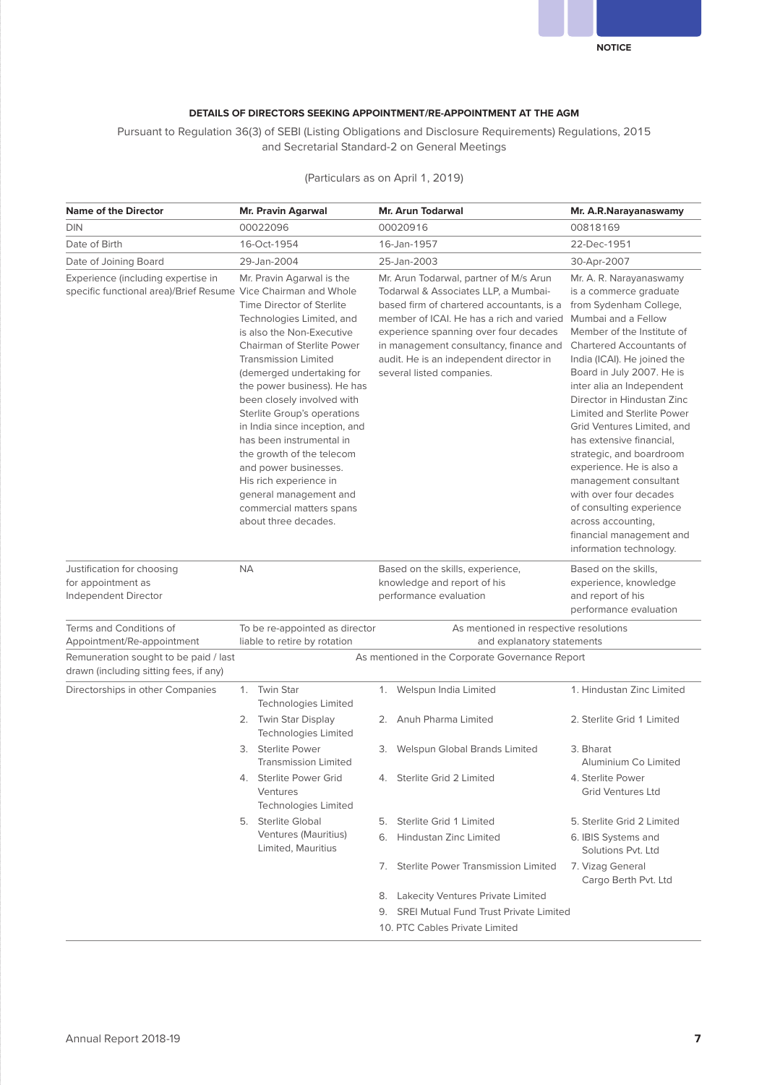

#### **DETAILS OF DIRECTORS SEEKING APPOINTMENT/RE-APPOINTMENT AT THE AGM**

Pursuant to Regulation 36(3) of SEBI (Listing Obligations and Disclosure Requirements) Regulations, 2015 and Secretarial Standard-2 on General Meetings

| <b>Name of the Director</b>                                                                          | Mr. Pravin Agarwal                                                                                                                                                                                                                                                                                                                                                                                                                                                                                          |                                                                |    | <b>Mr. Arun Todarwal</b>                                                                                                                                                                                                                                                                                                                                  | Mr. A.R.Narayanaswamy                                                                                                                                                                                                                                                                                                                                                                                                                                                                                                                             |  |  |  |  |
|------------------------------------------------------------------------------------------------------|-------------------------------------------------------------------------------------------------------------------------------------------------------------------------------------------------------------------------------------------------------------------------------------------------------------------------------------------------------------------------------------------------------------------------------------------------------------------------------------------------------------|----------------------------------------------------------------|----|-----------------------------------------------------------------------------------------------------------------------------------------------------------------------------------------------------------------------------------------------------------------------------------------------------------------------------------------------------------|---------------------------------------------------------------------------------------------------------------------------------------------------------------------------------------------------------------------------------------------------------------------------------------------------------------------------------------------------------------------------------------------------------------------------------------------------------------------------------------------------------------------------------------------------|--|--|--|--|
| <b>DIN</b>                                                                                           | 00022096                                                                                                                                                                                                                                                                                                                                                                                                                                                                                                    |                                                                |    | 00020916                                                                                                                                                                                                                                                                                                                                                  | 00818169                                                                                                                                                                                                                                                                                                                                                                                                                                                                                                                                          |  |  |  |  |
| Date of Birth                                                                                        |                                                                                                                                                                                                                                                                                                                                                                                                                                                                                                             | 16-Oct-1954                                                    |    | 16-Jan-1957                                                                                                                                                                                                                                                                                                                                               | 22-Dec-1951                                                                                                                                                                                                                                                                                                                                                                                                                                                                                                                                       |  |  |  |  |
| Date of Joining Board                                                                                | 29-Jan-2004                                                                                                                                                                                                                                                                                                                                                                                                                                                                                                 |                                                                |    | 25-Jan-2003                                                                                                                                                                                                                                                                                                                                               | 30-Apr-2007                                                                                                                                                                                                                                                                                                                                                                                                                                                                                                                                       |  |  |  |  |
| Experience (including expertise in<br>specific functional area)/Brief Resume Vice Chairman and Whole | Time Director of Sterlite<br>Technologies Limited, and<br>is also the Non-Executive<br><b>Chairman of Sterlite Power</b><br><b>Transmission Limited</b><br>(demerged undertaking for<br>the power business). He has<br>been closely involved with<br>Sterlite Group's operations<br>in India since inception, and<br>has been instrumental in<br>the growth of the telecom<br>and power businesses.<br>His rich experience in<br>general management and<br>commercial matters spans<br>about three decades. |                                                                |    | Mr. Arun Todarwal, partner of M/s Arun<br>Todarwal & Associates LLP, a Mumbai-<br>based firm of chartered accountants, is a from Sydenham College,<br>member of ICAI. He has a rich and varied<br>experience spanning over four decades<br>in management consultancy, finance and<br>audit. He is an independent director in<br>several listed companies. | is a commerce graduate<br>Mumbai and a Fellow<br>Member of the Institute of<br><b>Chartered Accountants of</b><br>India (ICAI). He joined the<br>Board in July 2007. He is<br>inter alia an Independent<br>Director in Hindustan Zinc<br>Limited and Sterlite Power<br>Grid Ventures Limited, and<br>has extensive financial,<br>strategic, and boardroom<br>experience. He is also a<br>management consultant<br>with over four decades<br>of consulting experience<br>across accounting,<br>financial management and<br>information technology. |  |  |  |  |
| Justification for choosing<br>for appointment as<br>Independent Director                             | <b>NA</b>                                                                                                                                                                                                                                                                                                                                                                                                                                                                                                   |                                                                |    | Based on the skills, experience,<br>knowledge and report of his<br>performance evaluation                                                                                                                                                                                                                                                                 | Based on the skills,<br>experience, knowledge<br>and report of his<br>performance evaluation                                                                                                                                                                                                                                                                                                                                                                                                                                                      |  |  |  |  |
| Terms and Conditions of<br>Appointment/Re-appointment                                                | To be re-appointed as director<br>liable to retire by rotation                                                                                                                                                                                                                                                                                                                                                                                                                                              |                                                                |    | As mentioned in respective resolutions<br>and explanatory statements                                                                                                                                                                                                                                                                                      |                                                                                                                                                                                                                                                                                                                                                                                                                                                                                                                                                   |  |  |  |  |
| Remuneration sought to be paid / last<br>drawn (including sitting fees, if any)                      |                                                                                                                                                                                                                                                                                                                                                                                                                                                                                                             |                                                                |    | As mentioned in the Corporate Governance Report                                                                                                                                                                                                                                                                                                           |                                                                                                                                                                                                                                                                                                                                                                                                                                                                                                                                                   |  |  |  |  |
| Directorships in other Companies                                                                     |                                                                                                                                                                                                                                                                                                                                                                                                                                                                                                             | 1. Twin Star<br>Technologies Limited                           |    | 1. Welspun India Limited                                                                                                                                                                                                                                                                                                                                  | 1. Hindustan Zinc Limited                                                                                                                                                                                                                                                                                                                                                                                                                                                                                                                         |  |  |  |  |
|                                                                                                      |                                                                                                                                                                                                                                                                                                                                                                                                                                                                                                             | 2. Twin Star Display<br>Technologies Limited                   |    | 2. Anuh Pharma Limited                                                                                                                                                                                                                                                                                                                                    | 2. Sterlite Grid 1 Limited                                                                                                                                                                                                                                                                                                                                                                                                                                                                                                                        |  |  |  |  |
|                                                                                                      |                                                                                                                                                                                                                                                                                                                                                                                                                                                                                                             | 3. Sterlite Power<br><b>Transmission Limited</b>               |    | 3. Welspun Global Brands Limited                                                                                                                                                                                                                                                                                                                          | 3. Bharat<br>Aluminium Co Limited                                                                                                                                                                                                                                                                                                                                                                                                                                                                                                                 |  |  |  |  |
|                                                                                                      |                                                                                                                                                                                                                                                                                                                                                                                                                                                                                                             | Sterlite Power Grid<br>Ventures<br><b>Technologies Limited</b> | 4. | Sterlite Grid 2 Limited                                                                                                                                                                                                                                                                                                                                   | 4. Sterlite Power<br><b>Grid Ventures Ltd</b>                                                                                                                                                                                                                                                                                                                                                                                                                                                                                                     |  |  |  |  |
|                                                                                                      |                                                                                                                                                                                                                                                                                                                                                                                                                                                                                                             | 5. Sterlite Global                                             |    | 5. Sterlite Grid 1 Limited                                                                                                                                                                                                                                                                                                                                | 5. Sterlite Grid 2 Limited                                                                                                                                                                                                                                                                                                                                                                                                                                                                                                                        |  |  |  |  |
|                                                                                                      |                                                                                                                                                                                                                                                                                                                                                                                                                                                                                                             | Ventures (Mauritius)<br>Limited, Mauritius                     |    | 6. Hindustan Zinc Limited                                                                                                                                                                                                                                                                                                                                 | 6. IBIS Systems and<br>Solutions Pvt. Ltd                                                                                                                                                                                                                                                                                                                                                                                                                                                                                                         |  |  |  |  |
|                                                                                                      |                                                                                                                                                                                                                                                                                                                                                                                                                                                                                                             |                                                                |    | 7. Sterlite Power Transmission Limited                                                                                                                                                                                                                                                                                                                    | 7. Vizag General<br>Cargo Berth Pvt. Ltd                                                                                                                                                                                                                                                                                                                                                                                                                                                                                                          |  |  |  |  |
|                                                                                                      |                                                                                                                                                                                                                                                                                                                                                                                                                                                                                                             |                                                                |    | 8. Lakecity Ventures Private Limited                                                                                                                                                                                                                                                                                                                      |                                                                                                                                                                                                                                                                                                                                                                                                                                                                                                                                                   |  |  |  |  |
|                                                                                                      |                                                                                                                                                                                                                                                                                                                                                                                                                                                                                                             |                                                                | 9. | <b>SREI Mutual Fund Trust Private Limited</b>                                                                                                                                                                                                                                                                                                             |                                                                                                                                                                                                                                                                                                                                                                                                                                                                                                                                                   |  |  |  |  |
|                                                                                                      |                                                                                                                                                                                                                                                                                                                                                                                                                                                                                                             |                                                                |    | 10. PTC Cables Private Limited                                                                                                                                                                                                                                                                                                                            |                                                                                                                                                                                                                                                                                                                                                                                                                                                                                                                                                   |  |  |  |  |

#### (Particulars as on April 1, 2019)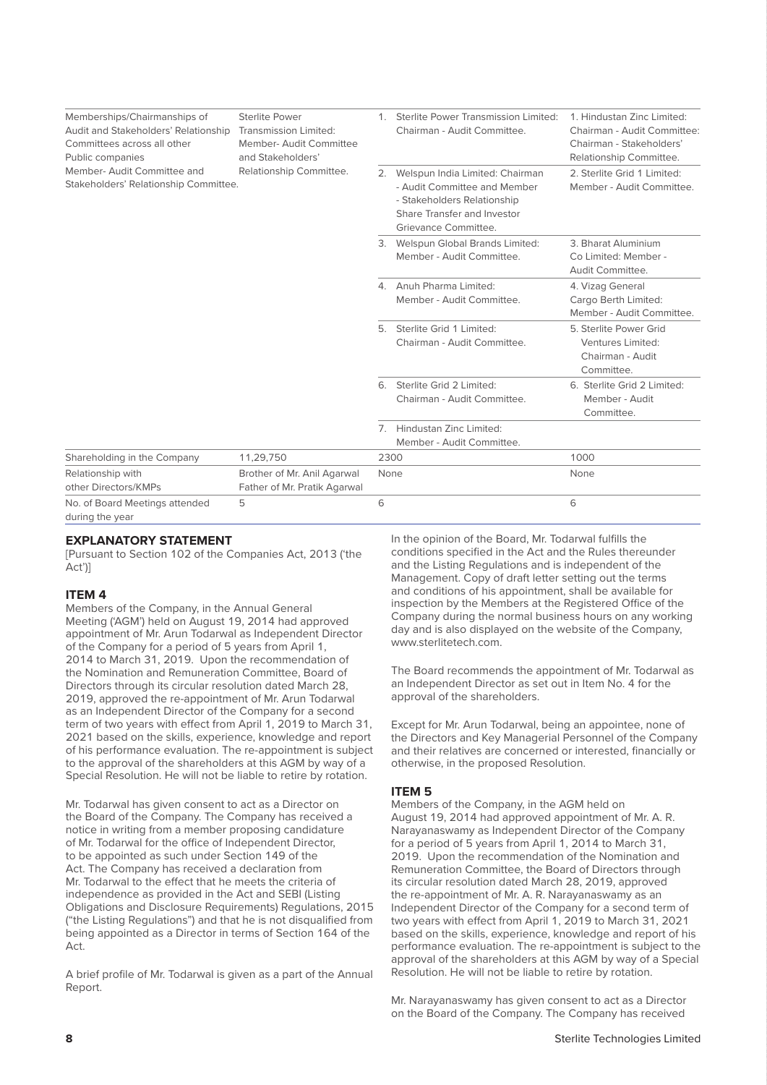| Memberships/Chairmanships of<br>Audit and Stakeholders' Relationship<br>Committees across all other<br>Public companies | <b>Sterlite Power</b><br>Transmission Limited:<br>Member-Audit Committee<br>and Stakeholders' |    | Sterlite Power Transmission Limited:<br>Chairman - Audit Committee.                                                                                      | 1. Hindustan Zinc Limited:<br>Chairman - Audit Committee:<br>Chairman - Stakeholders'<br>Relationship Committee. |  |
|-------------------------------------------------------------------------------------------------------------------------|-----------------------------------------------------------------------------------------------|----|----------------------------------------------------------------------------------------------------------------------------------------------------------|------------------------------------------------------------------------------------------------------------------|--|
| Member- Audit Committee and<br>Stakeholders' Relationship Committee.                                                    | Relationship Committee.                                                                       |    | 2. Welspun India Limited: Chairman<br>- Audit Committee and Member<br>- Stakeholders Relationship<br>Share Transfer and Investor<br>Grievance Committee. | 2. Sterlite Grid 1 Limited:<br>Member - Audit Committee.                                                         |  |
|                                                                                                                         |                                                                                               |    | 3. Welspun Global Brands Limited:<br>Member - Audit Committee.                                                                                           | 3. Bharat Aluminium<br>Co Limited: Member -<br>Audit Committee.                                                  |  |
|                                                                                                                         |                                                                                               |    | 4. Anuh Pharma Limited:<br>Member - Audit Committee.                                                                                                     | 4. Vizag General<br>Cargo Berth Limited:<br>Member - Audit Committee.                                            |  |
|                                                                                                                         |                                                                                               | 5. | Sterlite Grid 1 Limited:<br>Chairman - Audit Committee.                                                                                                  | 5. Sterlite Power Grid<br>Ventures Limited:<br>Chairman - Audit<br>Committee.                                    |  |
|                                                                                                                         |                                                                                               | 6. | Sterlite Grid 2 Limited:<br>Chairman - Audit Committee.                                                                                                  | 6. Sterlite Grid 2 Limited:<br>Member - Audit<br>Committee.                                                      |  |
|                                                                                                                         |                                                                                               |    | 7. Hindustan Zinc Limited:<br>Member - Audit Committee.                                                                                                  |                                                                                                                  |  |
| Shareholding in the Company                                                                                             | 11,29,750                                                                                     |    | 2300                                                                                                                                                     | 1000                                                                                                             |  |
| Relationship with<br>other Directors/KMPs                                                                               | Brother of Mr. Anil Agarwal<br>Father of Mr. Pratik Agarwal                                   |    | None                                                                                                                                                     | None                                                                                                             |  |
| No. of Board Meetings attended<br>during the year                                                                       | 5                                                                                             | 6  |                                                                                                                                                          | 6                                                                                                                |  |

#### **EXPLANATORY STATEMENT**

[Pursuant to Section 102 of the Companies Act, 2013 ('the Act')]

#### **ITEM 4**

Members of the Company, in the Annual General Meeting ('AGM') held on August 19, 2014 had approved appointment of Mr. Arun Todarwal as Independent Director of the Company for a period of 5 years from April 1, 2014 to March 31, 2019. Upon the recommendation of the Nomination and Remuneration Committee, Board of Directors through its circular resolution dated March 28, 2019, approved the re-appointment of Mr. Arun Todarwal as an Independent Director of the Company for a second term of two years with effect from April 1, 2019 to March 31, 2021 based on the skills, experience, knowledge and report of his performance evaluation. The re-appointment is subject to the approval of the shareholders at this AGM by way of a Special Resolution. He will not be liable to retire by rotation.

Mr. Todarwal has given consent to act as a Director on the Board of the Company. The Company has received a notice in writing from a member proposing candidature of Mr. Todarwal for the office of Independent Director, to be appointed as such under Section 149 of the Act. The Company has received a declaration from Mr. Todarwal to the effect that he meets the criteria of independence as provided in the Act and SEBI (Listing Obligations and Disclosure Requirements) Regulations, 2015 ("the Listing Regulations") and that he is not disqualified from being appointed as a Director in terms of Section 164 of the Act.

A brief profile of Mr. Todarwal is given as a part of the Annual Report.

In the opinion of the Board, Mr. Todarwal fulfills the conditions specified in the Act and the Rules thereunder and the Listing Regulations and is independent of the Management. Copy of draft letter setting out the terms and conditions of his appointment, shall be available for inspection by the Members at the Registered Office of the Company during the normal business hours on any working day and is also displayed on the website of the Company, www.sterlitetech.com.

The Board recommends the appointment of Mr. Todarwal as an Independent Director as set out in Item No. 4 for the approval of the shareholders.

Except for Mr. Arun Todarwal, being an appointee, none of the Directors and Key Managerial Personnel of the Company and their relatives are concerned or interested, financially or otherwise, in the proposed Resolution.

#### **ITEM 5**

Members of the Company, in the AGM held on August 19, 2014 had approved appointment of Mr. A. R. Narayanaswamy as Independent Director of the Company for a period of 5 years from April 1, 2014 to March 31, 2019. Upon the recommendation of the Nomination and Remuneration Committee, the Board of Directors through its circular resolution dated March 28, 2019, approved the re-appointment of Mr. A. R. Narayanaswamy as an Independent Director of the Company for a second term of two years with effect from April 1, 2019 to March 31, 2021 based on the skills, experience, knowledge and report of his performance evaluation. The re-appointment is subject to the approval of the shareholders at this AGM by way of a Special Resolution. He will not be liable to retire by rotation.

Mr. Narayanaswamy has given consent to act as a Director on the Board of the Company. The Company has received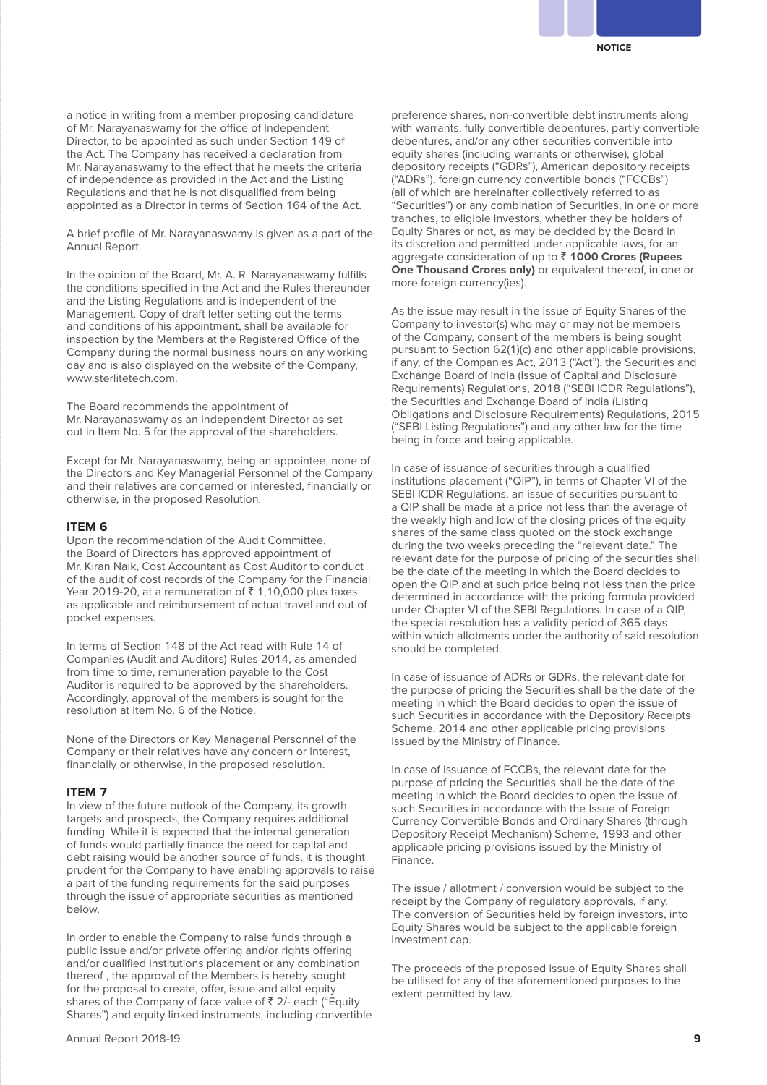a notice in writing from a member proposing candidature of Mr. Narayanaswamy for the office of Independent Director, to be appointed as such under Section 149 of the Act. The Company has received a declaration from Mr. Narayanaswamy to the effect that he meets the criteria of independence as provided in the Act and the Listing Regulations and that he is not disqualified from being appointed as a Director in terms of Section 164 of the Act.

A brief profile of Mr. Narayanaswamy is given as a part of the Annual Report.

In the opinion of the Board, Mr. A. R. Narayanaswamy fulfills the conditions specified in the Act and the Rules thereunder and the Listing Regulations and is independent of the Management. Copy of draft letter setting out the terms and conditions of his appointment, shall be available for inspection by the Members at the Registered Office of the Company during the normal business hours on any working day and is also displayed on the website of the Company, www.sterlitetech.com.

The Board recommends the appointment of Mr. Narayanaswamy as an Independent Director as set out in Item No. 5 for the approval of the shareholders.

Except for Mr. Narayanaswamy, being an appointee, none of the Directors and Key Managerial Personnel of the Company and their relatives are concerned or interested, financially or otherwise, in the proposed Resolution.

#### **ITEM 6**

Upon the recommendation of the Audit Committee, the Board of Directors has approved appointment of Mr. Kiran Naik, Cost Accountant as Cost Auditor to conduct of the audit of cost records of the Company for the Financial Year 2019-20, at a remuneration of  $\bar{z}$  1,10,000 plus taxes as applicable and reimbursement of actual travel and out of pocket expenses.

In terms of Section 148 of the Act read with Rule 14 of Companies (Audit and Auditors) Rules 2014, as amended from time to time, remuneration payable to the Cost Auditor is required to be approved by the shareholders. Accordingly, approval of the members is sought for the resolution at Item No. 6 of the Notice.

None of the Directors or Key Managerial Personnel of the Company or their relatives have any concern or interest, financially or otherwise, in the proposed resolution.

#### **ITEM 7**

In view of the future outlook of the Company, its growth targets and prospects, the Company requires additional funding. While it is expected that the internal generation of funds would partially finance the need for capital and debt raising would be another source of funds, it is thought prudent for the Company to have enabling approvals to raise a part of the funding requirements for the said purposes through the issue of appropriate securities as mentioned below.

In order to enable the Company to raise funds through a public issue and/or private offering and/or rights offering and/or qualified institutions placement or any combination thereof , the approval of the Members is hereby sought for the proposal to create, offer, issue and allot equity shares of the Company of face value of  $\bar{\tau}$  2/- each ("Equity Shares") and equity linked instruments, including convertible preference shares, non-convertible debt instruments along with warrants, fully convertible debentures, partly convertible debentures, and/or any other securities convertible into equity shares (including warrants or otherwise), global depository receipts ("GDRs"), American depository receipts ("ADRs"), foreign currency convertible bonds ("FCCBs") (all of which are hereinafter collectively referred to as "Securities") or any combination of Securities, in one or more tranches, to eligible investors, whether they be holders of Equity Shares or not, as may be decided by the Board in its discretion and permitted under applicable laws, for an aggregate consideration of up to ` **1000 Crores (Rupees One Thousand Crores only)** or equivalent thereof, in one or more foreign currency(ies).

As the issue may result in the issue of Equity Shares of the Company to investor(s) who may or may not be members of the Company, consent of the members is being sought pursuant to Section 62(1)(c) and other applicable provisions, if any, of the Companies Act, 2013 ("Act"), the Securities and Exchange Board of India (Issue of Capital and Disclosure Requirements) Regulations, 2018 ("SEBI ICDR Regulations"), the Securities and Exchange Board of India (Listing Obligations and Disclosure Requirements) Regulations, 2015 ("SEBI Listing Regulations") and any other law for the time being in force and being applicable.

In case of issuance of securities through a qualified institutions placement ("QIP"), in terms of Chapter VI of the SEBI ICDR Regulations, an issue of securities pursuant to a QIP shall be made at a price not less than the average of the weekly high and low of the closing prices of the equity shares of the same class quoted on the stock exchange during the two weeks preceding the "relevant date." The relevant date for the purpose of pricing of the securities shall be the date of the meeting in which the Board decides to open the QIP and at such price being not less than the price determined in accordance with the pricing formula provided under Chapter VI of the SEBI Regulations. In case of a QIP, the special resolution has a validity period of 365 days within which allotments under the authority of said resolution should be completed.

In case of issuance of ADRs or GDRs, the relevant date for the purpose of pricing the Securities shall be the date of the meeting in which the Board decides to open the issue of such Securities in accordance with the Depository Receipts Scheme, 2014 and other applicable pricing provisions issued by the Ministry of Finance.

In case of issuance of FCCBs, the relevant date for the purpose of pricing the Securities shall be the date of the meeting in which the Board decides to open the issue of such Securities in accordance with the Issue of Foreign Currency Convertible Bonds and Ordinary Shares (through Depository Receipt Mechanism) Scheme, 1993 and other applicable pricing provisions issued by the Ministry of Finance.

The issue / allotment / conversion would be subject to the receipt by the Company of regulatory approvals, if any. The conversion of Securities held by foreign investors, into Equity Shares would be subject to the applicable foreign investment cap.

The proceeds of the proposed issue of Equity Shares shall be utilised for any of the aforementioned purposes to the extent permitted by law.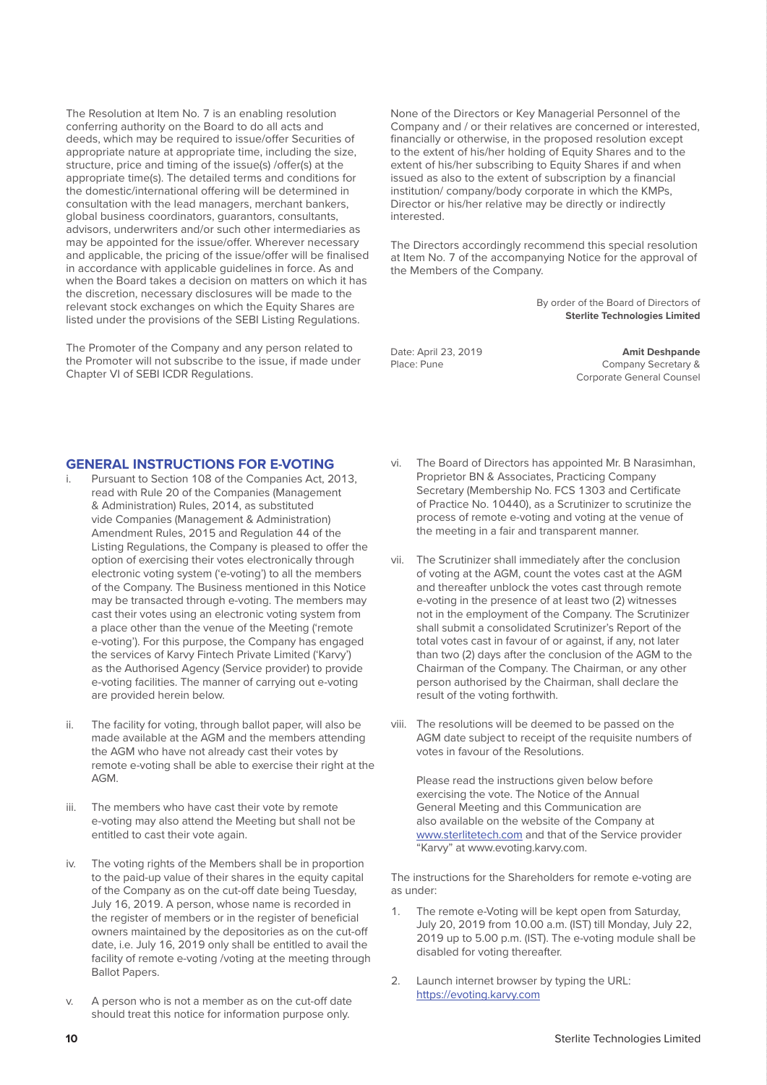The Resolution at Item No. 7 is an enabling resolution conferring authority on the Board to do all acts and deeds, which may be required to issue/offer Securities of appropriate nature at appropriate time, including the size, structure, price and timing of the issue(s) /offer(s) at the appropriate time(s). The detailed terms and conditions for the domestic/international offering will be determined in consultation with the lead managers, merchant bankers, global business coordinators, guarantors, consultants, advisors, underwriters and/or such other intermediaries as may be appointed for the issue/offer. Wherever necessary and applicable, the pricing of the issue/offer will be finalised in accordance with applicable guidelines in force. As and when the Board takes a decision on matters on which it has the discretion, necessary disclosures will be made to the relevant stock exchanges on which the Equity Shares are listed under the provisions of the SEBI Listing Regulations.

The Promoter of the Company and any person related to the Promoter will not subscribe to the issue, if made under Chapter VI of SEBI ICDR Regulations.

None of the Directors or Key Managerial Personnel of the Company and / or their relatives are concerned or interested, financially or otherwise, in the proposed resolution except to the extent of his/her holding of Equity Shares and to the extent of his/her subscribing to Equity Shares if and when issued as also to the extent of subscription by a financial institution/ company/body corporate in which the KMPs, Director or his/her relative may be directly or indirectly interested.

The Directors accordingly recommend this special resolution at Item No. 7 of the accompanying Notice for the approval of the Members of the Company.

> By order of the Board of Directors of **Sterlite Technologies Limited**

Date: April 23, 2019<br> **Amit Deshpande** Place: Pune Company Secretary & Corporate General Counsel

#### **GENERAL INSTRUCTIONS FOR E-VOTING**

- i. Pursuant to Section 108 of the Companies Act, 2013, read with Rule 20 of the Companies (Management & Administration) Rules, 2014, as substituted vide Companies (Management & Administration) Amendment Rules, 2015 and Regulation 44 of the Listing Regulations, the Company is pleased to offer the option of exercising their votes electronically through electronic voting system ('e-voting') to all the members of the Company. The Business mentioned in this Notice may be transacted through e-voting. The members may cast their votes using an electronic voting system from a place other than the venue of the Meeting ('remote e-voting'). For this purpose, the Company has engaged the services of Karvy Fintech Private Limited ('Karvy') as the Authorised Agency (Service provider) to provide e-voting facilities. The manner of carrying out e-voting are provided herein below.
- ii. The facility for voting, through ballot paper, will also be made available at the AGM and the members attending the AGM who have not already cast their votes by remote e-voting shall be able to exercise their right at the AGM.
- iii. The members who have cast their vote by remote e-voting may also attend the Meeting but shall not be entitled to cast their vote again.
- iv. The voting rights of the Members shall be in proportion to the paid-up value of their shares in the equity capital of the Company as on the cut-off date being Tuesday, July 16, 2019. A person, whose name is recorded in the register of members or in the register of beneficial owners maintained by the depositories as on the cut-off date, i.e. July 16, 2019 only shall be entitled to avail the facility of remote e-voting /voting at the meeting through Ballot Papers.
- v. A person who is not a member as on the cut-off date should treat this notice for information purpose only.
- vi. The Board of Directors has appointed Mr. B Narasimhan, Proprietor BN & Associates, Practicing Company Secretary (Membership No. FCS 1303 and Certificate of Practice No. 10440), as a Scrutinizer to scrutinize the process of remote e-voting and voting at the venue of the meeting in a fair and transparent manner.
- vii. The Scrutinizer shall immediately after the conclusion of voting at the AGM, count the votes cast at the AGM and thereafter unblock the votes cast through remote e-voting in the presence of at least two (2) witnesses not in the employment of the Company. The Scrutinizer shall submit a consolidated Scrutinizer's Report of the total votes cast in favour of or against, if any, not later than two (2) days after the conclusion of the AGM to the Chairman of the Company. The Chairman, or any other person authorised by the Chairman, shall declare the result of the voting forthwith.
- viii. The resolutions will be deemed to be passed on the AGM date subject to receipt of the requisite numbers of votes in favour of the Resolutions.

 Please read the instructions given below before exercising the vote. The Notice of the Annual General Meeting and this Communication are also available on the website of the Company at www.sterlitetech.com and that of the Service provider "Karvy" at www.evoting.karvy.com.

The instructions for the Shareholders for remote e-voting are as under:

- 1. The remote e-Voting will be kept open from Saturday, July 20, 2019 from 10.00 a.m. (IST) till Monday, July 22, 2019 up to 5.00 p.m. (IST). The e-voting module shall be disabled for voting thereafter.
- 2. Launch internet browser by typing the URL: https://evoting.karvy.com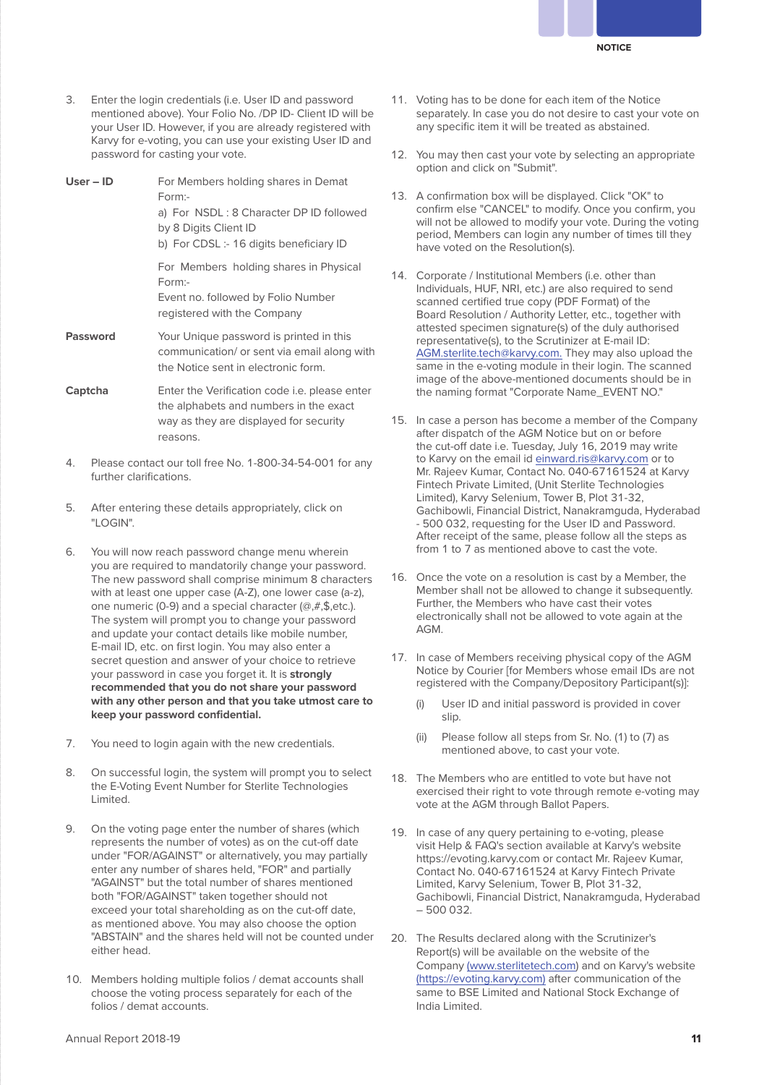

3. Enter the login credentials (i.e. User ID and password mentioned above). Your Folio No. /DP ID- Client ID will be your User ID. However, if you are already registered with Karvy for e-voting, you can use your existing User ID and password for casting your vote.

**User – ID** For Members holding shares in Demat Form: a) For NSDL : 8 Character DP ID followed by 8 Digits Client ID b) For CDSL :- 16 digits beneficiary ID For Members holding shares in Physical Form:- Event no. followed by Folio Number registered with the Company **Password** Your Unique password is printed in this communication/ or sent via email along with the Notice sent in electronic form. **Captcha** Enter the Verification code i.e. please enter the alphabets and numbers in the exact way as they are displayed for security

- 4. Please contact our toll free No. 1-800-34-54-001 for any further clarifications.
- 5. After entering these details appropriately, click on "LOGIN".

reasons.

- 6. You will now reach password change menu wherein you are required to mandatorily change your password. The new password shall comprise minimum 8 characters with at least one upper case (A-Z), one lower case (a-z), one numeric (0-9) and a special character (@,#,\$,etc.). The system will prompt you to change your password and update your contact details like mobile number, E-mail ID, etc. on first login. You may also enter a secret question and answer of your choice to retrieve your password in case you forget it. It is **strongly recommended that you do not share your password with any other person and that you take utmost care to keep your password confidential.**
- 7. You need to login again with the new credentials.
- 8. On successful login, the system will prompt you to select the E-Voting Event Number for Sterlite Technologies Limited.
- 9. On the voting page enter the number of shares (which represents the number of votes) as on the cut-off date under "FOR/AGAINST" or alternatively, you may partially enter any number of shares held, "FOR" and partially "AGAINST" but the total number of shares mentioned both "FOR/AGAINST" taken together should not exceed your total shareholding as on the cut-off date, as mentioned above. You may also choose the option "ABSTAIN" and the shares held will not be counted under either head.
- 10. Members holding multiple folios / demat accounts shall choose the voting process separately for each of the folios / demat accounts.
- 11. Voting has to be done for each item of the Notice separately. In case you do not desire to cast your vote on any specific item it will be treated as abstained.
- 12. You may then cast your vote by selecting an appropriate option and click on "Submit".
- 13. A confirmation box will be displayed. Click "OK" to confirm else "CANCEL" to modify. Once you confirm, you will not be allowed to modify your vote. During the voting period, Members can login any number of times till they have voted on the Resolution(s).
- 14. Corporate / Institutional Members (i.e. other than Individuals, HUF, NRI, etc.) are also required to send scanned certified true copy (PDF Format) of the Board Resolution / Authority Letter, etc., together with attested specimen signature(s) of the duly authorised representative(s), to the Scrutinizer at E-mail ID: AGM.sterlite.tech@karvy.com. They may also upload the same in the e-voting module in their login. The scanned image of the above-mentioned documents should be in the naming format "Corporate Name\_EVENT NO."
- 15. In case a person has become a member of the Company after dispatch of the AGM Notice but on or before the cut-off date i.e. Tuesday, July 16, 2019 may write to Karvy on the email id einward.ris@karvy.com or to Mr. Rajeev Kumar, Contact No. 040-67161524 at Karvy Fintech Private Limited, (Unit Sterlite Technologies Limited), Karvy Selenium, Tower B, Plot 31-32, Gachibowli, Financial District, Nanakramguda, Hyderabad - 500 032, requesting for the User ID and Password. After receipt of the same, please follow all the steps as from 1 to 7 as mentioned above to cast the vote.
- 16. Once the vote on a resolution is cast by a Member, the Member shall not be allowed to change it subsequently. Further, the Members who have cast their votes electronically shall not be allowed to vote again at the AGM.
- 17. In case of Members receiving physical copy of the AGM Notice by Courier [for Members whose email IDs are not registered with the Company/Depository Participant(s)]:
	- (i) User ID and initial password is provided in cover slip.
	- (ii) Please follow all steps from Sr. No. (1) to (7) as mentioned above, to cast your vote.
- 18. The Members who are entitled to vote but have not exercised their right to vote through remote e-voting may vote at the AGM through Ballot Papers.
- 19. In case of any query pertaining to e-voting, please visit Help & FAQ's section available at Karvy's website https://evoting.karvy.com or contact Mr. Rajeev Kumar, Contact No. 040-67161524 at Karvy Fintech Private Limited, Karvy Selenium, Tower B, Plot 31-32, Gachibowli, Financial District, Nanakramguda, Hyderabad – 500 032.
- 20. The Results declared along with the Scrutinizer's Report(s) will be available on the website of the Company (www.sterlitetech.com) and on Karvy's website (https://evoting.karvy.com) after communication of the same to BSE Limited and National Stock Exchange of India Limited.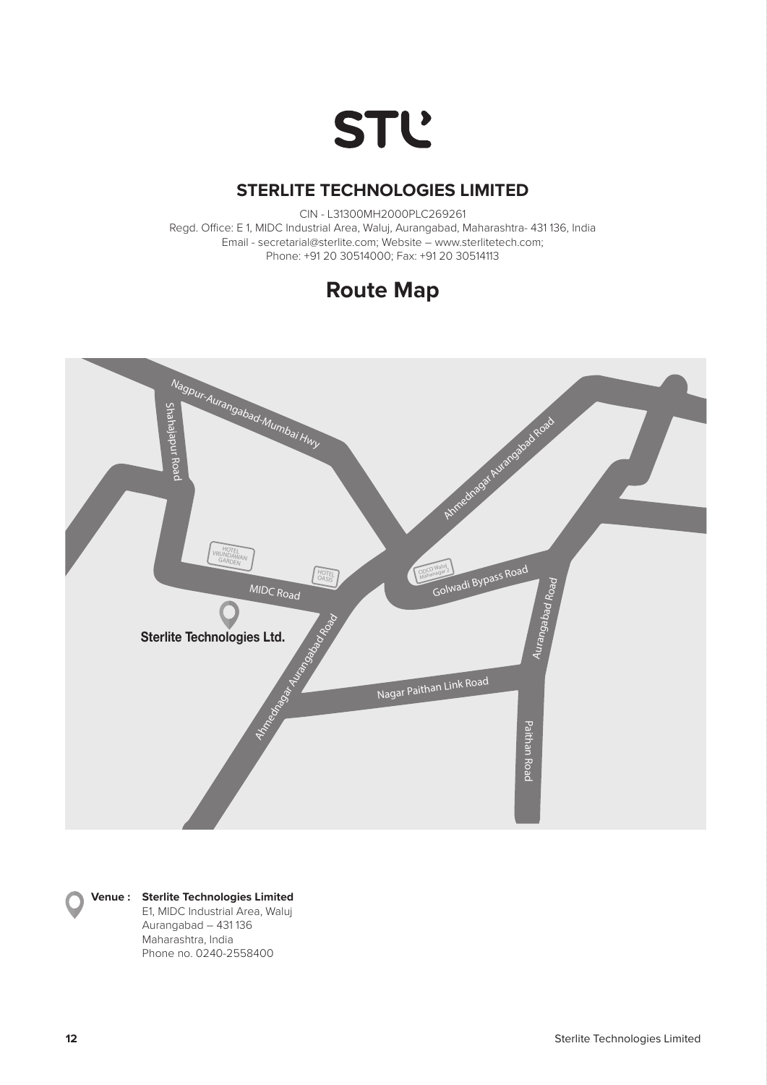

# **STERLITE TECHNOLOGIES LIMITED STERLITE TECHNOLOGIES LIMITED**

CIN - L31300MH2000PLC269261 CIN - L31300MH2000PLC269261 Regd. Office: E 1, MIDC Industrial Area, Waluj, Aurangabad, Maharashtra- 431 136, India Regd. Office: E 1, MIDC Industrial Area, Waluj, Aurangabad, Maharashtra- 431 136, India Email - secretarial@sterlite.com; Website – www.sterlitetech.com; Phone: +91 20 30514000; Fax: +91 20 30514113 Phone: +91 20 30514000; Fax: +91 20 30514113 iice. Lii, Milbe iiluustilai Alea, Waluj, Aurarigabau, Mariarashtia- 401 l<br>. Email - www.sterlitetech.com; Walutsin





## **Venue : Sterlite Technologies Limited Venue : Sterlite Technologies Limited**

 E1, MIDC Industrial Area, Waluj E1, MIDC Industrial Area, Waluj Aurangabad – 431 136 Aurangabad – 431 136 Maharashtra, India Maharashtra, India Phone no. 0240-2558400 Phone no. 0240-2558400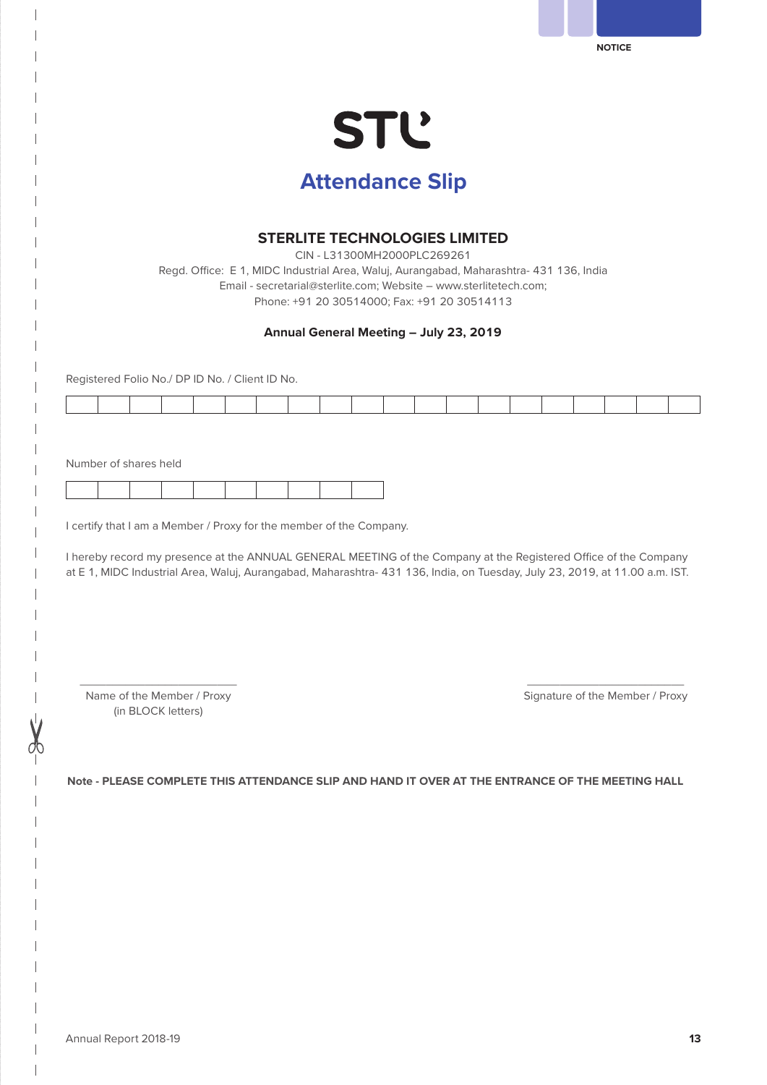| Registered Folio No./ DP ID No. / Client ID No.                                                                                                                                                                                                                                                                                                      |                    | Regd. Office: E 1, MIDC Industrial Area, Waluj, Aurangabad, Maharashtra- 431 136, India | Email - secretarial@sterlite.com; Website - www.sterlitetech.com;<br>Phone: +91 20 30514000; Fax: +91 20 30514113 | <b>STERLITE TECHNOLOGIES LIMITED</b><br>CIN - L31300MH2000PLC269261 |  |  |  |                                 |  |  |
|------------------------------------------------------------------------------------------------------------------------------------------------------------------------------------------------------------------------------------------------------------------------------------------------------------------------------------------------------|--------------------|-----------------------------------------------------------------------------------------|-------------------------------------------------------------------------------------------------------------------|---------------------------------------------------------------------|--|--|--|---------------------------------|--|--|
|                                                                                                                                                                                                                                                                                                                                                      |                    |                                                                                         |                                                                                                                   |                                                                     |  |  |  |                                 |  |  |
|                                                                                                                                                                                                                                                                                                                                                      |                    |                                                                                         |                                                                                                                   | Annual General Meeting - July 23, 2019                              |  |  |  |                                 |  |  |
|                                                                                                                                                                                                                                                                                                                                                      |                    |                                                                                         |                                                                                                                   |                                                                     |  |  |  |                                 |  |  |
|                                                                                                                                                                                                                                                                                                                                                      |                    |                                                                                         |                                                                                                                   |                                                                     |  |  |  |                                 |  |  |
| I certify that I am a Member / Proxy for the member of the Company.<br>I hereby record my presence at the ANNUAL GENERAL MEETING of the Company at the Registered Office of the Company<br>at E 1, MIDC Industrial Area, Waluj, Aurangabad, Maharashtra- 431 136, India, on Tuesday, July 23, 2019, at 11.00 a.m. IST.<br>Name of the Member / Proxy |                    |                                                                                         |                                                                                                                   |                                                                     |  |  |  | Signature of the Member / Proxy |  |  |
| Note - PLEASE COMPLETE THIS ATTENDANCE SLIP AND HAND IT OVER AT THE ENTRANCE OF THE MEETING HALL                                                                                                                                                                                                                                                     | (in BLOCK letters) |                                                                                         |                                                                                                                   |                                                                     |  |  |  |                                 |  |  |

 $\overline{\phantom{a}}$ 

 $\overline{\phantom{a}}$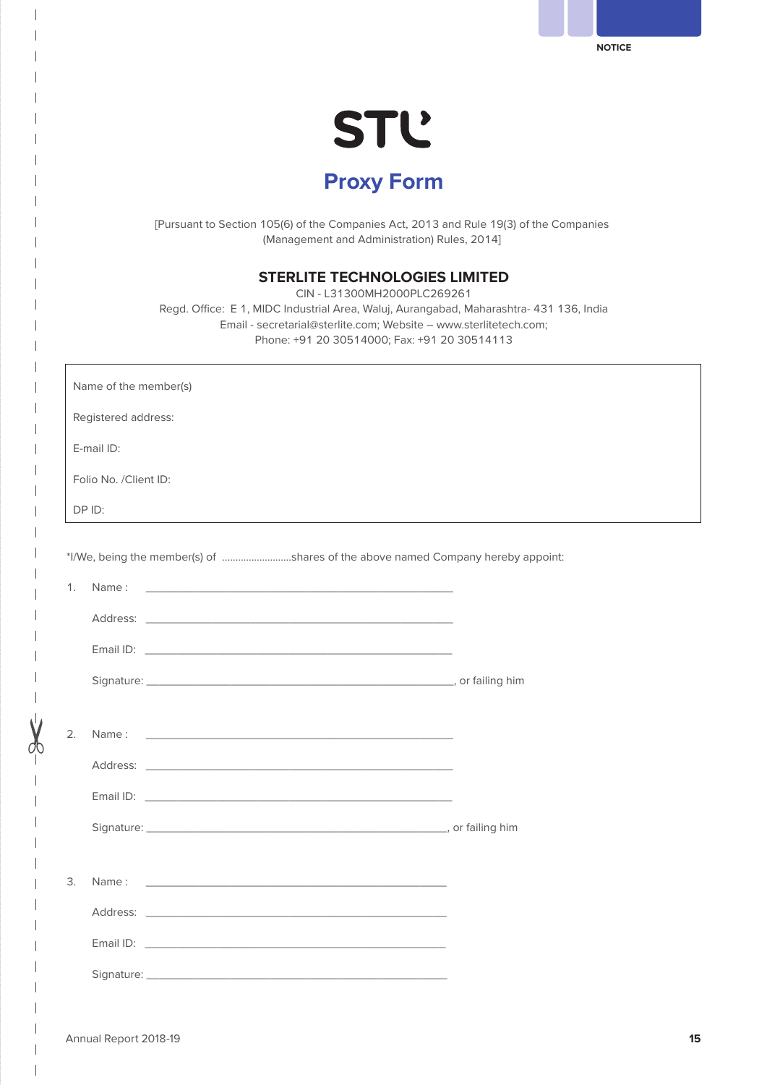**STL Proxy Form** **NOTICE**

[Pursuant to Section 105(6) of the Companies Act, 2013 and Rule 19(3) of the Companies (Management and Administration) Rules, 2014]

## **STERLITE TECHNOLOGIES LIMITED**

CIN - L31300MH2000PLC269261 Regd. Office: E 1, MIDC Industrial Area, Waluj, Aurangabad, Maharashtra- 431 136, India Email - secretarial@sterlite.com; Website – www.sterlitetech.com; Phone: +91 20 30514000; Fax: +91 20 30514113

|    | Name of the member(s)                                                                                                                                                                                                          |  |
|----|--------------------------------------------------------------------------------------------------------------------------------------------------------------------------------------------------------------------------------|--|
|    | Registered address:                                                                                                                                                                                                            |  |
|    | E-mail ID:                                                                                                                                                                                                                     |  |
|    | Folio No. /Client ID:                                                                                                                                                                                                          |  |
|    | DP ID:                                                                                                                                                                                                                         |  |
|    |                                                                                                                                                                                                                                |  |
|    | *I/We, being the member(s) of shares of the above named Company hereby appoint:                                                                                                                                                |  |
| 1. |                                                                                                                                                                                                                                |  |
|    | Address: Address: Address: Address: Address: Address: Address: Address: Address: Address: Address: Address: Address: Address: Address: Address: Address: Address: Address: Address: Address: Address: Address: Address: Addres |  |
|    |                                                                                                                                                                                                                                |  |
|    |                                                                                                                                                                                                                                |  |
|    |                                                                                                                                                                                                                                |  |
| 2. |                                                                                                                                                                                                                                |  |
|    |                                                                                                                                                                                                                                |  |
|    |                                                                                                                                                                                                                                |  |
|    |                                                                                                                                                                                                                                |  |
|    |                                                                                                                                                                                                                                |  |
| 3. |                                                                                                                                                                                                                                |  |
|    |                                                                                                                                                                                                                                |  |
|    |                                                                                                                                                                                                                                |  |
|    | Signature: the contract of the contract of the contract of the contract of the contract of the contract of the contract of the contract of the contract of the contract of the contract of the contract of the contract of the |  |
|    |                                                                                                                                                                                                                                |  |